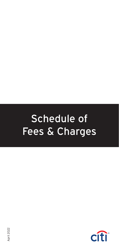# Schedule of Fees & Charges

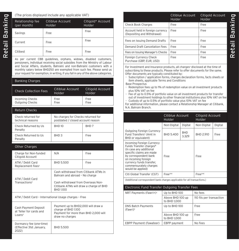(The prices displayed include any applicable VAT)

| Relationship fee<br>(per month) | Citiblue Account<br>Holder | Citigold* Account<br>Holder |
|---------------------------------|----------------------------|-----------------------------|
| Savings                         | Free                       | Free                        |
| Current                         | Free                       | Free                        |
| Citibest                        | Free                       | Free                        |

As per current CBB guidelines, orphans, widows, disabled customers, pensioners, individual receiving social subsidies from the Ministry of Labour and Social Affairs, students, Bahraini and non-Bahraini customers with a monthly salary below BHD250 are exempted from such fee. Please send us your request for exemption, in writing, if you fall in any of the above categories.

# Banking Charges

| <b>Check Collection Fees</b>              | Citiblue Account<br>Holder                                              | Citigold Account<br>Holder |
|-------------------------------------------|-------------------------------------------------------------------------|----------------------------|
| <b>Incoming Checks</b><br>Outgoing Checks | Free<br>Free                                                            | Free<br>Free               |
|                                           |                                                                         |                            |
| Return Checks                             |                                                                         |                            |
| Check returned for<br>technical reasons   | No charges for Checks returned for<br>postdated / closed account reason |                            |
| Check Returned by Us<br>Penalty           | <b>BHD 10</b>                                                           | BHD <sub>7</sub>           |
| Check Returned to Us<br>Penalty           | BHD <sub>3</sub>                                                        | Free                       |
|                                           |                                                                         |                            |

# Other Charges

| Charge for Non-funded<br>Citigold Account         | N/A                                                                                        | Free |  |
|---------------------------------------------------|--------------------------------------------------------------------------------------------|------|--|
| ATM / Debit Card<br>Replacement Fees <sup>x</sup> | BHD 5.500                                                                                  | Free |  |
| ATM / Debit Card                                  | Cash withdrawal from Citibank ATMs in<br>Bahrain and abroad - No charge                    |      |  |
| Transactions <sup>x</sup>                         | Cash withdrawal from Overseas Non-<br>Citibank ATMs will draw a charge of BHD<br>BHD 1.100 |      |  |

ATM / Debit Card – International Usage charges – Free

| Cash Payment Deposit<br>at Teller for cards and<br>Loans <sup>x</sup> | Payment up to BHD2,000 will draw a<br>charge of BHD 1.100<br>Payment for more than BHD 2,000 will<br>draw no charges |
|-----------------------------------------------------------------------|----------------------------------------------------------------------------------------------------------------------|
| Dormancy fee (one-time)<br>(Effective 31st January,<br>20221          | BHD 5.500                                                                                                            |

|                                                                 | Citiblue Account<br>Holder | Citigold Account<br><b>Holder</b> |
|-----------------------------------------------------------------|----------------------------|-----------------------------------|
| <b>Check Book Charges</b>                                       | Free                       | Free                              |
| Account held in foreign currency<br>(Depositing and Withdrawal) | Free                       | Free                              |
| Fees on Issuing Demand Drafts                                   | Free                       | Free                              |
| Demand Draft Cancellation Fees                                  | Free                       | Free                              |
| Fees on Issuing Manager's Checks                                | Free                       | Free                              |
| Foreign Currency Check<br>Purchase (GBP, EUR, USD)              | Free                       | Free                              |

For Investment and Insurance products, all charges<sup>x</sup> disclosed at the time of subscribing to these products. Please refer to offer documents for the same. Offer documents are typically constituted by:

- Subscription / application forms, charges declaration forms, facts sheets or item sheets, applicable Terms and Conditions

Base Prospectus

- Redemption fees up to 1% of redemption value on all investment products plus 10% VAT on fee
- Fee of up to 0.5% of portfolio value on all investment products for transfer out of investment holdings to other financial institutions plus 10% VAT on fee
- Custody of up to 0.5% of portfolio value plus 10% VAT on fee

For additional information, please contact a Relationship Manager at Citibank, N.A. Bahrain Branch.

|                                                                                                                                                                                                                                        | Citiblue Account<br>Holder |                     | Citigold Account<br>Holder. |         |
|----------------------------------------------------------------------------------------------------------------------------------------------------------------------------------------------------------------------------------------|----------------------------|---------------------|-----------------------------|---------|
|                                                                                                                                                                                                                                        | Non-Digital                | Digital             | Non-Digital                 | Digital |
| Outgoing Foreign Currency<br>Fund Transfers <sup>x</sup> (Amt in<br>BHD or equivalent)                                                                                                                                                 | BHD 5.400                  | <b>BHD</b><br>3.329 | BHD 2.910                   | Free    |
| Incoming Foreign Currency<br>Funds Transfer charges#<br>(In case any additional<br>specific claims are made<br>by correspondent bank<br>on incoming foreign<br>currency funds transfer,<br>commensurately charges<br>would be applied) | Free                       |                     | Free                        |         |
| Citi Global Transfer (CGT)                                                                                                                                                                                                             | $Free**$                   |                     | $Free**$                    |         |

(Additional correspondent bank charges applicable for all transactions.)

### Electronic Fund Transfer Outgoing Transfer Fees

| NRT Payments (Fawri+) <sup>x</sup>       | Up to BHD 100                    | No fees                  |
|------------------------------------------|----------------------------------|--------------------------|
|                                          | Above BHD 100 up<br>to BHD 1.000 | 110 fils per transaction |
| <b>DNS Batch Payments</b><br>$(Fawri)^x$ | Up to BHD 100                    | Free                     |
|                                          | Above BHD 100 up<br>to BHD 1.000 | Free                     |
| EBPP Payment (Fawateer)                  | EBPP payment                     | No Fees                  |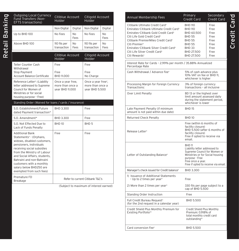| <b>Outgoing Local Currency</b><br>Fund Transfers (Non-<br><b>EFTS transactions)</b>                                                                                                                                                                                                                                                   | Citiblue Account<br>Holder                               |            | Citigold Account<br>Holder                                            |                        |
|---------------------------------------------------------------------------------------------------------------------------------------------------------------------------------------------------------------------------------------------------------------------------------------------------------------------------------------|----------------------------------------------------------|------------|-----------------------------------------------------------------------|------------------------|
|                                                                                                                                                                                                                                                                                                                                       | Non-Digital                                              | Digital    | Non-Digital                                                           | Digital                |
| Up to BHD 100                                                                                                                                                                                                                                                                                                                         | No Fees                                                  | No<br>Fees | No Fees                                                               | No<br>Fees             |
| Above BHD 100                                                                                                                                                                                                                                                                                                                         | 110 fils per<br>transaction                              | No<br>Fees | 110 fils per<br>transaction                                           | N <sub>0</sub><br>Fees |
|                                                                                                                                                                                                                                                                                                                                       | Citiblue Account<br>Holder                               |            | Citigold Account<br>Holder                                            |                        |
| <b>Teller Counter Cash</b><br>Withdrawal                                                                                                                                                                                                                                                                                              | Free                                                     |            | Free                                                                  |                        |
| <b>Stop Payment</b><br><b>Account Balance Certificate</b>                                                                                                                                                                                                                                                                             | Free<br>BHD 11,000                                       |            | Free<br>No Charge                                                     |                        |
| Reference Letter <sup>x</sup> : (Liability<br>letter addressed to Supreme<br>Council for Women of<br>Ministries or for social<br>housing purpose - Free)                                                                                                                                                                              | Once a year free,<br>more than once a<br>year BHD 11.000 |            | Once a year free <sup>x</sup> ,<br>more than once a<br>year BHD 5.500 |                        |
|                                                                                                                                                                                                                                                                                                                                       |                                                          |            |                                                                       |                        |
| Standing Order (Waived for loans / cards / insurance)                                                                                                                                                                                                                                                                                 |                                                          |            |                                                                       |                        |
| S.O. Establishment/Future<br>dated Payment transaction*                                                                                                                                                                                                                                                                               | BHD 3.300                                                |            | Free                                                                  |                        |
| S.O. Amendment*                                                                                                                                                                                                                                                                                                                       | BHD 3.300                                                |            | Free                                                                  |                        |
| S.O. Not Effected Due to<br>Lack of Funds Penalty                                                                                                                                                                                                                                                                                     | <b>BHD 10</b>                                            |            | BHD <sub>5</sub>                                                      |                        |
| <b>Additional Bank</b><br>Statements <sup>x</sup> - (Orphans,<br>widows, disabled customers,<br>pensioners, individuals<br>receiving social subsidies<br>from the Ministry of Labour<br>and Social Affairs, students,<br>Bahraini and non-Bahraini<br>customers with a monthly<br>salary below BHD250 are<br>exempted from such fees) | Free                                                     |            | Free                                                                  |                        |

(Subject to maximum of interest earned)

| <b>Annual Membership Fees</b>                                                                                                                                                                                                                                                                                                                                                                                 | Primary<br>Credit Card                                                                                                                                                                           | Secondary<br>Credit Card                                             |
|---------------------------------------------------------------------------------------------------------------------------------------------------------------------------------------------------------------------------------------------------------------------------------------------------------------------------------------------------------------------------------------------------------------|--------------------------------------------------------------------------------------------------------------------------------------------------------------------------------------------------|----------------------------------------------------------------------|
| Citibank Ultimate Credit Card <sup>x</sup><br>Emirates-Citibank Ultimate Credit Card <sup>x</sup><br>Emirates-Citibank Gold Credit Card <sup>x</sup><br>Citi Life Gold Credit Card <sup>x</sup><br>Citibank PremierMiles Credit Card <sup>x</sup><br>Citi Premier <sup>x</sup><br>Emirates-Citibank Silver Credit Card <sup>x</sup><br>Citi Life Silver Credit Card <sup>x</sup><br>Citi Rewards <sup>x</sup> | <b>BHD 110</b><br><b>BHD 110</b><br>BHD 60.500<br><b>BHD 55</b><br><b>BHD 55</b><br><b>BHD 55</b><br><b>BHD 33</b><br>BHD 27.500<br>BHD 27.500                                                   | Free<br>Free<br>Free<br>Free<br>Free<br>Free<br>Free<br>Free<br>Free |
| Interest Rate for Cards - 2.99% per month / 35.88% Annualized<br>Percentage Rate                                                                                                                                                                                                                                                                                                                              |                                                                                                                                                                                                  |                                                                      |
| Cash Withdrawal / Advance Feex                                                                                                                                                                                                                                                                                                                                                                                | 5% of cash advance plus<br>10% VAT on fee or BHD 11,<br>whichever is higher                                                                                                                      |                                                                      |
| Processing Margin for Foreign Currency<br>Transactions:                                                                                                                                                                                                                                                                                                                                                       | 3% of foreign currency<br>transactions - all inclusive                                                                                                                                           |                                                                      |
| Over Limit Penalty                                                                                                                                                                                                                                                                                                                                                                                            | BD 13 or the highest over<br>limit amount assessed daily<br>during the statement period,<br>whichever is lower                                                                                   |                                                                      |
| Late Payment Penalty (if minimum<br>amount is not paid within due date)                                                                                                                                                                                                                                                                                                                                       | <b>BHD 15</b>                                                                                                                                                                                    |                                                                      |
| <b>Returned Check Penalty</b>                                                                                                                                                                                                                                                                                                                                                                                 | <b>BHD 10</b>                                                                                                                                                                                    |                                                                      |
| Release Letter <sup>x</sup>                                                                                                                                                                                                                                                                                                                                                                                   | Free (within 6 months of<br>facility closure)<br>BHD 5.500 (after 6 months of<br>facility closure)<br>Free if opted to receive via<br>email.                                                     |                                                                      |
| Letter of Outstanding Balance <sup>x</sup>                                                                                                                                                                                                                                                                                                                                                                    | <b>BHD 11</b><br>Liability letter addressed to<br>Supreme Council for Women or<br>Ministries or for Social housing<br>purpose - Free<br>Free once a year.<br>Free if opted to receive via email. |                                                                      |
| Manager's check issued for Credit balance <sup>x</sup>                                                                                                                                                                                                                                                                                                                                                        | BHD 3.300                                                                                                                                                                                        |                                                                      |
| 1) Issuance of Additional Statements<br>- Up to 2 times per year <sup>x</sup>                                                                                                                                                                                                                                                                                                                                 | Free                                                                                                                                                                                             |                                                                      |
| 2) More than 2 times per year <sup>x</sup>                                                                                                                                                                                                                                                                                                                                                                    | 330 fils per page subject to a<br>cap of BHD 5.500                                                                                                                                               |                                                                      |
| Standing Order Instruction                                                                                                                                                                                                                                                                                                                                                                                    | Free                                                                                                                                                                                             |                                                                      |
| Full Credit Bureau Request <sup>x</sup><br>(for the 2nd request in a calendar year)                                                                                                                                                                                                                                                                                                                           | <b>BHD 5.500</b>                                                                                                                                                                                 |                                                                      |
| Credit Shield Plus Monthly Premium for<br>Existing Portfolio <sup>xx</sup>                                                                                                                                                                                                                                                                                                                                    | Credit Shield Plus Monthly<br>Premium: 0.918% of<br>total monthly credit card<br>outstanding <sup>xx</sup>                                                                                       |                                                                      |
| Card conversion Fee <sup>x</sup>                                                                                                                                                                                                                                                                                                                                                                              | <b>BHD 5.500</b>                                                                                                                                                                                 |                                                                      |
|                                                                                                                                                                                                                                                                                                                                                                                                               |                                                                                                                                                                                                  |                                                                      |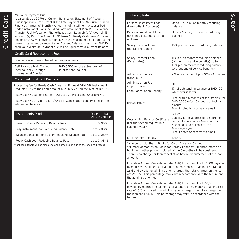#### Minimum Payment Due:

Credit Card

Credit Card

Is calculated as 2.77% of Current Balance on Statement of Account, plus if applicable (a) Current Billed Late Payment Fee, (b) Current Billed Finance Charges, (c) Monthly Amount(s) of Installment(s) subscribed under Installment plans including Easy Installment Plan(s) (EIP/Balance Transfer Facility/Loan on Phone/Ready Cash Loan etc.), (d) Over Limit Amount, (e) Past Due Amounts, (f) Taxes (g) Ready Cash Loan Processing Fee or BHD 10, whichever is higher, with the maximum being equal to the current statement balance. If your Current Balance is less than BHD 10 then your Minimum Payment due will be Equal to your Current Balance.

## Credit Card Replacement Fees

#### Free in case of Bank initiated card replacements

Self Pick up / Mail, Through local courier / Through International Courier<sup>x</sup>

BHD 5.500 (or the actual cost of International courier)

#### Credit Card Installment Products

Processing fee for Ready Cash / Loan on Phone (LOP)/ 0% Installment Products:\* 2% of the Loan Amount plus 10% VAT on fee, Max of BD 100.

Ready Cash / Loan on Phone (ALOP) top up Processing Charge\*: NIL

Ready Cash / LOP / BTF / EIP / 0% EIP Cancellation penalty is 1% of the outstanding balance

| Installments Products                                | Rate in (%)<br><b>PER ANNUM*</b> |
|------------------------------------------------------|----------------------------------|
| Loan on Phone Reducing Balance Rate                  | up to 31.08 %                    |
| Easy Installment Plan Reducing Balance Rate          | up to 31.08 %                    |
| Balance Consolidation Facility Reducing Balance Rate | up to 31.08 %                    |
| Ready Cash Loan Reducing Balance Rate                | up to 31.08 %                    |

\*Applicable tenors will be displayed and agreed upon during the booking process

| <b>Interest Rate</b>                                                                           |                                                                                                                                                                                                                                                                                                          |
|------------------------------------------------------------------------------------------------|----------------------------------------------------------------------------------------------------------------------------------------------------------------------------------------------------------------------------------------------------------------------------------------------------------|
| Personal Installment Loan<br>(New-to-Bank <sup>1</sup> Customer)                               | Up to 30% p.a., on monthly reducing<br>balance                                                                                                                                                                                                                                                           |
| Personal Installment Loan<br>(Existing2 customers for top<br>up loan)                          | Up to 27% p.a., on monthly reducing<br>balance                                                                                                                                                                                                                                                           |
| Salary Transfer Loan<br>(Bahraini Nationals)                                                   | 10% p.a. on monthly reducing balance                                                                                                                                                                                                                                                                     |
| Salary Transfer Loan<br>(Expatriates)                                                          | 11% p.a. on monthly reducing balance<br>(with end of service benefits) up to<br>19% p.a. on monthly reducing balance<br>(without end of service benefits)                                                                                                                                                |
| <b>Administration Fee</b><br>(New loan) <sup>x</sup>                                           | 2% of loan amount plus 10% VAT on fee                                                                                                                                                                                                                                                                    |
| <b>Administration Fee</b><br>(Top-up loan) <sup>x</sup>                                        | <b>NIL</b>                                                                                                                                                                                                                                                                                               |
| Loan Cancellation Penalty                                                                      | 1% of outstanding balance or BHD 100<br>whichever is lower                                                                                                                                                                                                                                               |
| Release letter <sup>x</sup>                                                                    | Free (within 6 months of facility closure)<br>BHD 5.500 (after 6 months of facility<br>closure)<br>Free if opted to receive via email.                                                                                                                                                                   |
| Outstanding Balance Certificate<br>(For the second request in a<br>calendar vear) <sup>x</sup> | <b>BHD 11</b><br>Liability letter addressed to Supreme<br>council for Women or Ministries for<br>Social housing purpose - Free<br>Free once a year<br>Free if opted to receive via email.                                                                                                                |
| Late Payment Penalty                                                                           | BHD <sub>10</sub>                                                                                                                                                                                                                                                                                        |
| <sup>1</sup> Number of Months on Books for Cards / Loans < 6 months<br>amount.                 | <sup>2</sup> Number of Months on Books for Cards / Loans >= 6 months, month on<br>books with other products closed within 6 months will be considered.<br>There is no charge for loan cancellation before disbursement of the loan                                                                       |
| the administration fee.                                                                        | Indicative Annual Percentage Rate (APR) for a loan of BHD 7,500 payable<br>by monthly installments for a tenure of 60 months at an interest rate of<br>26% and by adding administration charges, the total charges on the loan<br>are 26.75%. This percentage may vary in accordance with the tenure and |
| tenure.                                                                                        | Indicative Annual Percentage Rate (APR) for a loan of BHD 10,000<br>payable by monthly installments for a tenure of 60 months at an interest<br>rate of 10% and by adding administration charges, the total charges on<br>the loan are 10.47%. This percentage may vary in accordance with the           |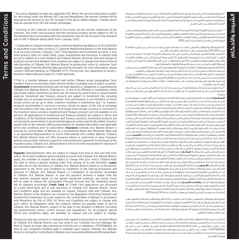<sup>x</sup> الرسـوم الموضحـة فـي الجـدول تشـمل ضريبـة القيمـة المضافـة. فـي حـال اسـتحقاق أحـد الرسـوم المبينـة أعـاه لمعـدل صفـر لضريبـة القيمـة المضافـة حسـب قانـون الضريبـة لمملكـة البحريـن فإنـه ســيتم خصــم قيمــة الضريبــة مــن مبلــغ الرســوم المبينــة أعــاه. الرســوم المبينــة أعــاه معفــاة مــن الضريبـة و سـتبقى مـن غيـر تعديـل

x x يتضمـن ضريبـة القيمـة المضافـة المحصلـة لصالـح المؤمـن علـى الجـزء الغيـر متعلـق بالتأميـن علـى الحيـاة. سـيخضـع منتـج تأميـن بطاقـة الائتمـان (الغيـر متعلـق بالتأميـن علـى الحيـاة) لضريبـة القيمـة ً المضافـة بالسـعر القياسـي وفقـا للقواعـد االنتقاليـة للزيـادة فـي المعـدل القياسـي لضريبـة القيمـة ً المضافـة فـي البحريـن اعتبـارا مـن 1 ينايـر .2022

)1( تطبــق الشــروط واألحــكام علــى أصحــاب حســابات ســيتي جولــد بحــد أدنــى مــن رصيــد العالقــة \* قــدره 200،000 دوالر أمريكــي أو مــا يعادلهــا بالعمــات األخــرى.

)2( رصيـد عالقـة العميـل هـو إجمالـي الرصيـد فـي كل الحسـابات )الجاريـة / اإلدخـار / الحسـابات تحـت الطلـب / الودائــع إلـى أجـل) وحسـابات الاسـتثمار. (3) تشـير عبـارة «أي منتـج آخـر» إلـى بطاقـات الائتمـان، والقــروض، واالســتثمارات، والتأميــن. )4( تســتحق الفوائــد علــى الســلفة النقديــة اعتبــارًا مــن تاريــخ الســلفة النقديــة وحتــى ســداد مبلــغ الســلفة والفوائــد المتعلقــة بهــا.

كافـة أسـعار ورسـوم ونفقـات المنتجـات المبينـة تفاصيلهـا بهـذا الجـدول قابلـة للتغييـر مـن حيـن إلـى آخـر بمحـض تقديـر سـيتي بنـك ان. ايـه. فـرع البحريـن بعـد إصـدار إشـعار مسـبق إلـى العميـل.

تطبــق هــذه الرســوم اعتبــارًا مــن تاريــخ ســريانها الــذي يحــدده البنــك. للمزيــد مــن التفاصيــل يرجــى االتصـال بخدمـات سـيتي بنـك ان. ايـه. فـرع البحريـن الهاتفيـة )سـيتي فـون( علـى الرقـم 17582484 )ســيتي(. يتفــاوت تســعير الرســوم بنــاء علــى التســهيالت / عالقــات األعمــال ويخضــع للموافقــات الالزمــة علــى االئتمــان.

\*\*هـذا تحويـل بيـن حسـابات محتفـظ بهـا فـي سـيتي بنـك ان. ايـه. فـرع البحريـن فـي عـدد مـن الـدول المختلفــة. يجــب إجــراء هــذه التحويــات عبــر اإلنترنــت، كمــا أن هــذا التســهيل غيــر متــاح إال فــي دول معينــة.

**االسـتثمارات:** منتجـات االسـتثمار ليسـت ودائـع أو التزامـات مصرفيـة كمـا أنهـا ليسـت مضمونـة مـن قبــل ســيتي بنــك ان. ايــه. فــرع البحريــن أو ســيتي جــروب إنــك أو أي مــن شــركاتها التابعــة أو الفرعيــة مــا لــم ينــص علــى ذلــك خــاف علــى وجــه التحديــد. منتجــات االســتثمار ليســت مؤمنــة مــن جانــب الحكومــة أو الــوكاالت الحكوميــة. منتجــات االســتثمار والخزينــة عرضــة لمخاطــر االســتثمار، بمــا فــي ذلــك احتمــال خســارة أصــل المبلــغ المســتثمر. األداء الســابق ليــس مؤشــرًا علــى النتائــج المســتقبلية؛ فاألسـعار يمكـن أن ترتفـع أو تنخفـض. يجـب علـى المسـتثمرين فـي منتجـات االسـتثمار و/أو الخزينـة المقومـة بغيـر العمـات المحليـة أن يكونـوا علـى درايـة بمخاطـر تقلبـات أسـعار الصـرف التـي يمكـن أن تسـبب خسـارة فـي أصـل مبلـغ االسـتثمار عنـد تحويـل العملـة األجنبيـة إلـى العملـة المحليـة لبلـد المســتثمر. منتجــات االســتثمار والخزينــة غيــر متاحــة لألشــخاص األمريكييــن. تخضــع كافــة الطلبــات بشــأن منتجــات االســتثمار والخزينــة للشــروط واألحــكام المعينــة المتعلقــة بمنتجــات االســتثمار والخزينــة. علــى المســتثمرين الإشــارة إلــى مســتند (مســتندات) العــرض ذي الصلــة للحصــول علــى تفاصيـل المعلومـات وعلـى الشـروط واألحـكام المطبقـة قبـل االكتتـاب فـي العـرض. **التأميـن:** سـيتي بنــك ان. ايــه. فــرع البحريــن مرخــص لــه مــن قبــل مصــرف البحريــن المركــزي كمصــرف تجزئــة وجملــة تقليــدي وهــو الممثــل المعتمــد لشــركة زيوريــخ إنترناشــيونال اليــف ليميتــد فــرع البحريــن، ال يؤمــن ســيتي بنــك ان. ايــه. فــرع البحريــن أو يصــدر بوالــص التأميــن، ولكنــه يقــدم الدعــم للعميــل بتحصيــل ً أقســاط التأميــن لمصــدر بوليصــة التأميــن. وال يعتبــر ســيتي بنــك ان. ايــه. فــرع البحريــن مســؤوال عــن رفـض أي طلـب تأميـن أو مطالبـة. **الودائـع:** تخضـع الودائـع / أسـعار الفائـدة للتغييـر بيـن حيـن وآخـر ُ بعـد إصـدار إشـعار مسـبق. تطبـق الشـروط واألحـكام التـي تحكـم الحسـابات المصرفيـة لـدى سـيتي بنـك ان. ايـه. فـرع البحريـن وهـي متاحـة عنـد الطلـب وقابلـة للتغييـر بعـد إصـدار إشـعار مسـبق. يحتفـظ ســيتي بنــك ان. ايــه. فــرع البحريــن بالحــق فــي رفــض أي طلــب لقيــد وديعــة مــن أي شــخص بمحــض تقديـره الخـاص. **القـروض:** تمنـح كافـة القـروض بمحـض تقديـر سـيتي بنـك ان ايـه بنـاء علـى )أ( اتفـاق األطــراف علــى الشــروط واألحــكام )ب( إكمــال اإلجــراءات والموافقــات الداخليــة فــي ســيتي بنــك ان. ايـه. فـرع البحريـن (ج) إكمـال المسـتندات المقبولـة لـدى سـيتي بنـك ان. ايـه. فـرع البحريـن. فـي حـال كانــت الدفعــة المســتلمة أعلــى مــن المبلــغ المســتحق وفقــً لجــدول الســداد المتفــق عليــه، ســوف يتـم اسـتخدام أي مبالـغ زائـدة لتقليـل المبلـغ الرئيسـي المسـتحق، كمـا سـيتم تعديـل الفتـرة الزمنيـة المتبقيــة وفقــً لذلــك. **بطاقــات االئتمــان:** تعالــج كل طلبــات بطاقــات االئتمــان علــى أســاس بــذل أفضـل الجهـود وبمحــض تقديــر ســيتي بنــك. جميــع الودائــع لــدى ســيتي بنــك ان. ايــه. فــرع البحريــن فــي المملكــة مشــمولة بواســطة لوائــح تنظيــم حمايــة الودائــع وحســابات االســتثمار الغيــر مقيــدة الصــادرة عــن مصــرف البحريــن المركــزي بموجــب القــرار. رقــم )34( لعــام .2010

ُتطبــق الشــروط واألحــكام وهــي متاحــة عنــد الطلــب. كافــة الشــروط واألحــكام قابلــة للتغييــر بعــد إصـدار إشـعار مسـبق. تكـون كافـة االلتزامـات بموجـب المنتجـات المعروضـة مسـتحقة الدفـع حصـرًا لـدى سـيتي بنـك ان. ايـه. فـرع البحريـن بموجـب قوانيـن مملكـة البحريـن )بمـا فـي ذلـك أيـة إجـراءات أو ُ أوامـر أو مراسـيم أو لوائـح حكوميـة(. تطبـق شـروط وأحـكام خاصـة علـى كل المنتجـات وهـي متاحـة عنـد الطلـب وقابلـة للتغييـر.

إذا كانـــت لديكـــم أيـــة استفســـارات أو شـــكاوى بشـــأن المنتجـــات والخدمـــات المقدمـــة مـــن ســـيتي بنـــك ان. ايـــه. فـــرع البحريـــن، يمكنكـــم الكتابـــة إلـــى مديـــر خدمـــات الزبائـــن، الســـيدة هنـــد الزيانـــي علـــى البريـــد اإللكترونـــي: com.citi@service.customer.bah أو االتصـــال هاتفيـــً علـــى الرقـــم: 97317588360 .+ يتوفـــر عنـــد الطلـــب دليـــل ســـهل االســـتخدام بشـــأن التعامـــل مـــع الشـــكاوى. ســيتي بنــك ان. ايــه. فــرع البحريــن مرخــص لــه مــن قبــل مصــرف البحريــن المركــزي كمصــرف تجزئــة وجملـــة تقليـــدي.

x The prices displayed include any applicable VAT. Where the services listed above qualify for zero-rating under the Bahrain VAT Law and Regulations, the amount charged will be reduced by the amount of any VAT included in the above stated charges. Charges above that are exempt from VAT will remain unchanged.

xx Inclusive of VAT collected on behalf of the insurer on the non-life component of the premium. The credit card insurance (non-life insurance) product will be subject to VAT at the standard rate in accordance with the transitional rules for the increase in the standard rate of VAT in Bahrain taking effect from 1 January 2022.

\* 1. Applicable to Citigold members with a minimum Relationship Balance of US \$ 200,000 or equivalent in any other currency. 2. Customer Relationship Balance is the total balance in all accounts (Current / Savings / Call / Time Deposits) and investment accounts. 3. Any other product refers to Credit Cards, Loans, Investments and Insurance. 4. Interest shall accrue in relation to a Cash Advance and interest thereon. All prices, fees and charges of products and services detailed in this schedule are subject to change from time to time at sole discretion of Citibank, N.A. Bahrain Branch by giving prior notice to customer. Such changes apply from the effective date specified by the bank. For more information, please contact CitiPhone Banking on 17582484 (CITI). Pricing may vary depending on facility / business relationship and subject to credit approvals.

\*\*This is a transfer between accounts held within Citibank across geographies. Such transfers have to be executed online and this facility is available only on select countries. **Investments:** Investment products are not bank deposits or obligations or guaranteed by Citibank, N.A. Bahrain Branch, Citigroup Inc. or any of its affiliates or subsidiaries unless specifically stated. Investment products are not insured by government or governmental agencies. Investment and Treasury products are subject to Investment risk, including possible loss of principal amount invested. Past performance is not indicative of future results: prices can go up or down. Investors investing in investments and / or Treasury products denominated in non-local currency should be aware of the risk of exchange rate fluctuations that may cause loss of principal when foreign currency is converted to the investors' home currency. Investment and Treasury products are not available to U.S persons. All applications for Investment and Treasury products are subject to Terms and Conditions of the individual Investment and Treasury products. Investment products are not insured by government or governmental agencies unless specifically stated. Investors should refer to the relevant offering document(s) for detailed information and applicable terms and conditions prior to subscription. **Insurance:** Citibank, N.A. Bahrain Branch is licensed by Central Bank of Bahrain as a Conventional Retail and Wholesale Bank and is an Appointed Representative of Zurich International Life Limited, Bahrain. Citibank, N.A. Bahrain Branch does not offer insurance advice or underwrite or issue insurance policies, but provides customer support to receive premium payments for the issuer of the insurance policy. Citibank, N.A. Bahrain Branch will not be held responsible for rejection of any insurance application or claim.

**Deposits:** Deposit/interest rates are subject to change from time to time and with prior notice. Terms and Conditions governing bank accounts with Citibank, N.A. Bahrain Branch apply, are available on request and subject to change with prior notice. Citibank holds the right to refuse a deposit booking order from anyone at its sole discretion. **Loans:** All loans are at sole discretion of Citibank, N.A. Bahrain Branch based on a) the parties' agreement to the Terms and Conditions b) completion of the internal procedures and approval of Citibank, N.A. Bahrain Branch. c) Completion of documents acceptable to Citibank, N.A. Bahrain Branch. In case the payment received is higher than the due amount required based on the agreed repayment schedule, any excess funds will be used to reduce the outstanding Principal Amount and the remaining tenure will be adjusted accordingly. **Credit Card:** All Credit Card applications are processed on a best effort–basis and at sole discretion of Citibank, N.A. Bahrain Branch. Terms and Conditions apply and are available on request. Deposits held with Citibank, N.A. Bahrain Branch in the Kingdom are covered by the Regulation Protecting Deposits and Unrestricted Investment Accounts issued by the Central Bank of Bahrain in accordance with Resolution No (34) of 2010. All Terms and Conditions are subject to change with prior notice. All obligations under the products offered are payable solely at and by Citibank, N.A. Bahrain Branch, subject to the laws of the Kingdom of Bahrain (including any governmental actions, orders, decrees and regulations). For all products, special Terms and Conditions apply, are available on request and are subject to change.

Should you have any concerns or complains with regards to the product or services offered by Citibank, N.A. Bahrain Branch, you may write to our Customer Services Manager, Ms. Hind Al Zayani at email: bah.customer.service@citi.com or telephone +97317588360. An easy to use complaints handling guide is available upon request. Citibank, N.A. Bahrain Branch is licensed by Central Bank of Bahrain as a Conventional Retail and Wholesale Bank.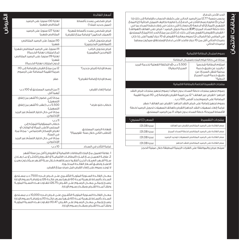#### الحد الأدنى للدف<sup>ع</sup>:

يحسب بنسبة %2.77 من الرصيد الحالي على كشف الحساب، باإلضافة إلى ذلك إذا أمكن (أ) فاتورة رسم التأخر في الدفع (ب) فاتورة تكاليف التمويل الحالية (ج) المبلغ الشهري (المبالغ) أو الدفعة (الدفعات) التي دخلت في إطار خطط السداد بما في ذلك خطة السداد المريح (EIP) خدمة تحويل الرصيد / قرض على الهاتف (الهواتف) / القرض (القروض) الغوري وما إلى ذلك. (د) أكثر من مبلغ الحد (٥) المبلغ المستحق في الماضي (و) الضرائب (ز) رسوم معالجة القروض أو 10 دينار أيهما أعلى. إذا كان رصيدك الحالي أقل من 10 دينار فالحد األدنى لدفع اإلستحقاق سيكون مساويًا لرصيدك الحالي

|                                                               | رسوم استبدال البطاقة الائتمانية                                                                                             |
|---------------------------------------------------------------|-----------------------------------------------------------------------------------------------------------------------------|
|                                                               | مجانًا فى حالة قيام البنك باستبدال البطاقة                                                                                  |
| 5.500 د.ب (أو التكلفة الفعلية لخدمة البريد<br>السريح الدولية) | استلام البطاقة شخصيأ<br>/ بالبريد عن طريق خدمة<br>محلية للنقل السريح/ عن<br>طريق خدمة البريد السريع<br>الدولىة <sup>x</sup> |
|                                                               | منتجات التقسيط الخاصة بالبطاقة الائتمانية                                                                                   |

رسوم تجهيز منتجات خطة السداد بدون فوائد/ رسوم تجهيز منتجات قرض النقد الجاهز / القرض عبر الهاتف؛ 2٪ من قيمة القرض بالإضافة إلى 10٪ ضريبة القيمة

المضافة على الرسوم بحد أقصى 100 د.ب. .

رسوم تجهيز إضافة على قرض النقد الجاهز / القرض عبر الهاتف<sup>ة</sup>: صغر غرامة إلغاء تسهيالت النقد الجاهز/القرض بالهاتف/تسهيالت تحويل الرصيد/خطة األقساط المريحة/ خطة السداد بدون فوائد %1 من الرصيد المستحق.

| السعر (٪) السنوى* | منتجات التقسيط                                        |
|-------------------|-------------------------------------------------------|
| لغاية 31.08٪      | سعر الغائدة على الرصيد المتناقص للقرض عبر الهاتف      |
| لغاية 31.08٪      | سعر الغائدة على الرصيد المتناقص لخطة السداد المريح    |
| لغاية 31.08٪      | سعر الغائدة على الرصيد المتناقص لتسهيلات توحيد الرصيد |
| لغاية 31.08٪      | سعر الغائدة على الرصيد المتناقص للنقد الجاهز          |

\* سيتم عرض والموافقة على الفترات الزمنية المطبقة خالل عملية الحجز

| أسعار الغائدة                                                                   |                                                                                                                                                                                            |
|---------------------------------------------------------------------------------|--------------------------------------------------------------------------------------------------------------------------------------------------------------------------------------------|
| قرض شخصى يسدد بأقساط<br>(عميل جديد للبنك')                                      | لغاية 30٪ سنوياً، على الرصيد<br>المتناقص شهريآ                                                                                                                                             |
| قرض شخصى يسدد بأقساط شهرية<br>(العملاء الحاليين <sup>2</sup> لإضافة مبلغ للقرض) | لغاية 27٪ سنوياً، على الرصيد<br>المتناقص شهريآ                                                                                                                                             |
| قرض بتحويل الراتب<br>(للمواطنين البحرينيين)                                     | 10٪ سنوياً، على الرصيد المتناقص<br>شهرنا                                                                                                                                                   |
| قرض بتحويل الراتب<br>(للوافدين المقيمين)                                        | 11٪ سنوياً، على الرصيد المتناقص شهرياً<br>(م& امتيازات نهاية الخدمة)<br>لغاية 19٪ سنوياً، على الرصيد المتناقص<br>شهرنأ<br>(بدون امتيازات نهاية الخدمة)                                     |
| رسم الإدارة (قرض جديد) <sup>»</sup>                                             | 2٪ من مبلغ القرض بالإضافة إلى 10٪<br>ضريبة القيمة المضافة على الرسوم                                                                                                                       |
| رسم الإدارة (إضافة للقرض) <sup>x</sup>                                          | صفر                                                                                                                                                                                        |
| غرامة إلغاء القرض                                                               | 1٪ من الرصيد المستحق أو 100 د.ب<br>أيهما آقل                                                                                                                                               |
| خطاب خلو طرف <sup>×</sup>                                                       | مجاناً (فى غضون 6 أشهر من إغلاق<br>التسهيل)<br>5.500 د.ب (عقب 6 أشهر من إغلاق<br>التسهيل)<br>مجاناً فى حال اختيار التسلم عبر البريد<br>الإلكتروني.                                         |
| شهادة الرصيد المستحق<br>(للطلب الثانى خلال سنة تقويمية) <sup>»</sup>            | 11 د.ب<br>خطاب المسؤولية المُوجَّه إلى<br>المجلس الأعلى للمرأة أو الوزارات أو<br>لغرض الإسكان الاجتماعى - مجاناً مرة<br>فى السنة.<br>مجاناً فى حال اختيار التسلم عبر البريد<br>الإلكتروني. |

1. علاقة العميل م6 البنك (البطاقات الائتمانية أو القروض) أقل من ستة أشهر .2 عالقــة العميــل مــع البنــك )البطاقــات االئتمانيــة أو القــروض( ألكثــر أو مــا يعــادل ســتة أشــهر، العمــاء الذيــن أغلقــوا حســاباتهم خــال ســتة أشــهر ســيأخذون بعيــن االعتبــار وتطبــق أســعار الفائــدة المذكــورة. ال توجد رسوم على إلغاء القرض قبل صرف مبلغ القرض.

غرامة التأخر في السداد 10 د.ب

وفقــً لمــدة القــرض ومقــدار رســوم اإلدارة.

معــدل الفائــدة الســنوية المئويــة التأشــيري علــى قــرض قــدره 7500 د.ب مســتحق السـداد بأقسـاط شـهرية لمـدة 60 شـهراً بسـعر فائـدة 26٪ و بإضافـة رسـوم الإدارة يصبــح إجمالــي معــدل الرســوم علــى القــرض %26.75 تتفــاوت هــذه النســبة المئويــة

معـدل الفائـدة السـنوية المئويـة التأشـيري علـى قـرض قـدره 10,000 د.ب مسـتحق الســداد بأقسـاط شــهرية لمــدة 60 شــهراً بســعر فائــدة 10٪ و بإضافــة رســوم الإدارة يصبــح إجمالــي معــدل الرســوم علــى القــرض %10.47 تتفــاوت هــذه النســبة المئويــة وفقــً لمــدة القــرض ومقــدار رســوم اإلدارة.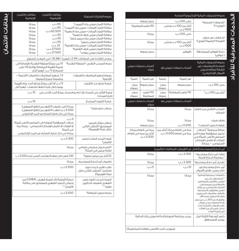| رسوم التحويلات المالية الإلكترونية الصادرة |                                                            |                                                          |                       |                                                                                                                                                                                                                                                                                                                                                                                 |  |
|--------------------------------------------|------------------------------------------------------------|----------------------------------------------------------|-----------------------|---------------------------------------------------------------------------------------------------------------------------------------------------------------------------------------------------------------------------------------------------------------------------------------------------------------------------------------------------------------------------------|--|
|                                            | بدون رسوم                                                  |                                                          | حتى 100 د.ب           | التحويلات السريعة                                                                                                                                                                                                                                                                                                                                                               |  |
| 110 فلس للمعاملة                           |                                                            | أكثر من 100 د.ب وحتى<br>1000 د.ب                         |                       | (فورۍ+) <sup>x</sup>                                                                                                                                                                                                                                                                                                                                                            |  |
| مجانآ                                      |                                                            | حتى 100 د.ب                                              |                       | الدفعات عبر حلول<br>الشبكة الرقمية (فورى)*                                                                                                                                                                                                                                                                                                                                      |  |
| محانآ                                      |                                                            | آكثر من 100 د.ب وحتى<br>1000 د.ب                         |                       |                                                                                                                                                                                                                                                                                                                                                                                 |  |
|                                            | بدون رسوم                                                  |                                                          | الغواتير              | دفع الغواتير المستحقة<br>( فواتير)                                                                                                                                                                                                                                                                                                                                              |  |
|                                            |                                                            |                                                          |                       |                                                                                                                                                                                                                                                                                                                                                                                 |  |
|                                            | أصحاب حسابات سيتى<br>جولد                                  |                                                          | أصحاب حسابات سيتي بلو | رسوم التحويلات المالية<br>الصادرة (المعاملات غير<br>التابعة لنظام تحويل<br>الأموال الإلكتروني)                                                                                                                                                                                                                                                                                  |  |
| رقمية                                      | غير رقمية                                                  | رقمية                                                    | غير رقمية             |                                                                                                                                                                                                                                                                                                                                                                                 |  |
| بدون<br>رسوم                               | بدون رسوم                                                  | بدون<br>رسوم                                             | بدون رسوم             | حتں 100 د.ب                                                                                                                                                                                                                                                                                                                                                                     |  |
| بدون<br>رسوم                               | 110 فلس<br>للمعاملة                                        | 110 فلس للمعاملة<br>بدون<br>رسوم                         |                       | أكثر من 100 د.ب <sup>×</sup>                                                                                                                                                                                                                                                                                                                                                    |  |
|                                            | أصحاب حسابات سيتي                                          |                                                          | أصحاب حسابات سيتي بلو |                                                                                                                                                                                                                                                                                                                                                                                 |  |
|                                            | جولد<br>مجانآ                                              |                                                          | مجانآ                 | السحب النقدى من كاونتر                                                                                                                                                                                                                                                                                                                                                          |  |
|                                            |                                                            |                                                          |                       | الصراف                                                                                                                                                                                                                                                                                                                                                                          |  |
|                                            | محانآ                                                      |                                                          | محانآ                 | وقف صرف                                                                                                                                                                                                                                                                                                                                                                         |  |
|                                            | بدون رسوم                                                  |                                                          | 11.000 د.ب            | شهادة رصيد الحساب <sup>x</sup>                                                                                                                                                                                                                                                                                                                                                  |  |
|                                            | مرة في العام مجاناً،<br>آكثر من مرة فى العام<br>5.500 د.ب. | مرة في العام مجاناً، أكثر من<br>مرة في العام 11.000 د.ب. |                       | رسالة مرجعية ٌ (خطاب<br>تحمل مسؤولية موجه إلى<br>المجلس الأعلى للمرأة فى<br>الوزارات أو لغرض الإسكان<br>الاجتماعي – مجاناً)                                                                                                                                                                                                                                                     |  |
|                                            |                                                            |                                                          |                       | أمر الدفعَ المستديم (التنازل عن العَروض /البطاقات/ التأمين)                                                                                                                                                                                                                                                                                                                     |  |
|                                            | مجانآ                                                      |                                                          | 3.300 د.ب             | إنشاء أمر دف <sup>ع</sup> مستديم <sup>×</sup><br>/ معاملة الدفع الآجلة                                                                                                                                                                                                                                                                                                          |  |
|                                            | مجانآ                                                      |                                                          | 3.300 د.ب             | تعديل أمر دف£ مستديم <sup>×</sup>                                                                                                                                                                                                                                                                                                                                               |  |
| 5 د.ب                                      |                                                            |                                                          | 10 د.ب                | أمر دفح مستديم غير<br>نافذ بسبب نقص الأموال                                                                                                                                                                                                                                                                                                                                     |  |
|                                            | مجانآ                                                      |                                                          | مجانآ                 | كشوفات مصرفية إضافية<br>" (يتم إعفاء كل من<br>اليتامى والأرامل والمعاقين<br>والمتقاعدين ومستحقى<br>الضمان الاجتماعى من وزارة<br>العمل والشؤون الاجتماعية<br>والطلاب والعملاء البحرينيين<br>وغير البحرينيين ممن تقل<br>رواتبھہ عن 250 د.ب من مثل<br>هذه الرسوم، يرجى إرسال<br>طلب الإعفاء كتابيأ إذا كنت<br>تدخل ضمن آى من الغئات<br>المذكورة آعلاه.)<br>كسر الوديعة الثابتة قبل |  |
|                                            |                                                            | يرجى مراجعة شروط وأحكام سيتى بنك الحالية                 |                       | موعد الاستحقاق                                                                                                                                                                                                                                                                                                                                                                  |  |
| (بموجب الحد الأقصى للغائدة المكتسبة)       |                                                            |                                                          |                       |                                                                                                                                                                                                                                                                                                                                                                                 |  |

الخدمات المصرفية لألفراد

الخدمات المصرفية للأفراد

| <u>بطاق</u> ات الائتمان<br>الاضافىة                                                                                                                           | بطاقات الائتمان<br>الأساسىة                                                                                                                                     | رسوم الاشتراك السنوية                                                                                                                                                                                                                                                                                                                                                                                                                             |                                                                                 |
|---------------------------------------------------------------------------------------------------------------------------------------------------------------|-----------------------------------------------------------------------------------------------------------------------------------------------------------------|---------------------------------------------------------------------------------------------------------------------------------------------------------------------------------------------------------------------------------------------------------------------------------------------------------------------------------------------------------------------------------------------------------------------------------------------------|---------------------------------------------------------------------------------|
| مجانآ<br>مجانآ<br>مجانآ<br>مجانآ<br>مجانآ<br>مجانآ<br>مجانآ<br>مجانآ<br>مجانآ                                                                                 | 110 د.ب<br>110 د.ب<br>60.500 د.ب<br>55 د.ب<br>55 د.ب<br>55 د.ب<br>33 د.ب<br>27.500 د.ب<br>27.500 د.ب                                                            | بطاقة ائتمان سيتى بنك آلتيميت <sup>×</sup><br>بطاقة ائتمان الإمارات–سيتى بنك آلتيميت <sup>×</sup><br>بطاقة ائتمان الإمارات–سيتي بنك الذهبية <sup>x</sup><br>بطاقة ائتمان سيتى لايف الذهبية <sup>x</sup><br>بطاقة ائتمان سيتى بنك بريمير مايلز <sup>x</sup><br>بطاقة ائتمان سيتى بريمير <sup>»</sup><br>بطاقة ائتمان الإمارات–سيتى بنك الغضية <sup>x</sup><br>بطاقة ائتمان سيتى لايف الغضية <sup>x</sup><br>بطاقة ائتمان سيتى ريواردز <sup>»</sup> |                                                                                 |
|                                                                                                                                                               |                                                                                                                                                                 |                                                                                                                                                                                                                                                                                                                                                                                                                                                   | معدل الغائدة على البطاقات 2.99 ٪ شهرياً / 35.88 ٪ في المعدل السنوى              |
| 5٪ من مبلغ السلغة النقدية بالإضافة إلى<br>رسم السحب النقدي / السلغة النقدية <sup>x</sup><br>ضريبة القيمة المضافة بواقحَ 10٪ على<br>الرسم أو 11 د.ب أيهما أكثر |                                                                                                                                                                 |                                                                                                                                                                                                                                                                                                                                                                                                                                                   |                                                                                 |
| 3٪ تجهيز المعاملات بالعملات الأجنبية –<br>متضمنة جميع الرسوم                                                                                                  |                                                                                                                                                                 |                                                                                                                                                                                                                                                                                                                                                                                                                                                   | رسوم تجهيز المعاملات بالعملات<br>الأحنىية                                       |
|                                                                                                                                                               | 13 د.ب أو أعلى مبلغ يتجاوز الحد يتم تقييمه<br>يوميًا خلال فترة كشف الحساب ، أيهما أقل                                                                           |                                                                                                                                                                                                                                                                                                                                                                                                                                                   | غرامة تجاوز حد الائتمان                                                         |
| غرامة التأخر في السداد (إذا لم يتم سداد مبلغ الحد الأدنى في<br>15 د.ب<br>تاريخ السداد)                                                                        |                                                                                                                                                                 |                                                                                                                                                                                                                                                                                                                                                                                                                                                   |                                                                                 |
| 10 د.ب                                                                                                                                                        |                                                                                                                                                                 |                                                                                                                                                                                                                                                                                                                                                                                                                                                   | غرامة الشيك المرتجع                                                             |
|                                                                                                                                                               | مجاناً (فى غضون 6 أشهر من إغلاق التسهيل)<br>5.500 د.ب (عقب 6 أشهر من إغلاق التسهيل)<br>مجاناً فى حال اختيار التسلّم عبر البريد الإلكترونى.                      |                                                                                                                                                                                                                                                                                                                                                                                                                                                   | خطاب خلو طرف <sup>x</sup>                                                       |
|                                                                                                                                                               | خطاب المسؤولية المُوجَّه إلى المجلس الأعلى للمرأة<br>أو الوزارات أو لغرض الإسكان الاجتماعي - مجاناً مرة<br>مجاناً في حال اختيار التسلُّم عبر البريد الإلكتروني. | 11 د.ب<br>فى السنة.                                                                                                                                                                                                                                                                                                                                                                                                                               | خطاب بشأن الرصيد<br>المستحق <sup>ة</sup> (للطلبِ الثاني<br>خلال سنة تعُويمية)   |
|                                                                                                                                                               |                                                                                                                                                                 | 3.300 د.ب                                                                                                                                                                                                                                                                                                                                                                                                                                         | شيك المدير الصادر لرصيد<br>الائتمان <sup>x</sup>                                |
|                                                                                                                                                               |                                                                                                                                                                 | مجانا                                                                                                                                                                                                                                                                                                                                                                                                                                             | 1) إصدار بيان مصرفي إضافي<br>لغاية مرتين في السنة <sup>x</sup>                  |
|                                                                                                                                                               | 330 فلس لكل صغحة رهنأ بحد أقصى قدره 5.500 د.ب                                                                                                                   |                                                                                                                                                                                                                                                                                                                                                                                                                                                   | 2) أكثر من مرتين سنوياً <sup>x</sup>                                            |
|                                                                                                                                                               |                                                                                                                                                                 | مجانآ                                                                                                                                                                                                                                                                                                                                                                                                                                             | تعليمات أمر الدفع المستديم                                                      |
| 5.500 د.ب                                                                                                                                                     |                                                                                                                                                                 |                                                                                                                                                                                                                                                                                                                                                                                                                                                   | طلب تقرير كريدت بيرو<br>بالكامل <sup>»</sup> (للطلب الثانى خلال<br>سنة تقويمية) |
|                                                                                                                                                               | حماية ائتمانية زائد قسط شهرى؛ %0.918 من<br>إجمالي الرصيد الشهري المستحق على بطاقة                                                                               | الائتمان ٌ××                                                                                                                                                                                                                                                                                                                                                                                                                                      | قسط كرديت شيلد بلس<br>الشهرى للعملاء الحاليين<br>فقط ٌ                          |
| 5.500 د.ب                                                                                                                                                     |                                                                                                                                                                 |                                                                                                                                                                                                                                                                                                                                                                                                                                                   | رسم تحويل البطاقة <sup>x</sup>                                                  |
|                                                                                                                                                               |                                                                                                                                                                 |                                                                                                                                                                                                                                                                                                                                                                                                                                                   |                                                                                 |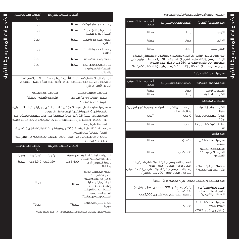ً )اعتبارا من 31 يناير 2022(

| (الرسوم المبينة آدناه تشمل ضريبة القيمة المضافة)                                                                                                                                                                                                                                                 |                                                                                                                                                                                         |                            |  |  |  |
|--------------------------------------------------------------------------------------------------------------------------------------------------------------------------------------------------------------------------------------------------------------------------------------------------|-----------------------------------------------------------------------------------------------------------------------------------------------------------------------------------------|----------------------------|--|--|--|
| رسوم العلاقة (شهرياً)                                                                                                                                                                                                                                                                            | آصحاب حسابات سيتى بلو                                                                                                                                                                   | أصحاب حسابات سيتي<br>جولد* |  |  |  |
| التوفير                                                                                                                                                                                                                                                                                          | محانآ                                                                                                                                                                                   | محانآ                      |  |  |  |
| الجارى                                                                                                                                                                                                                                                                                           | محانآ                                                                                                                                                                                   | محانآ                      |  |  |  |
| سيتىبست                                                                                                                                                                                                                                                                                          | محانآ                                                                                                                                                                                   | محانآ                      |  |  |  |
| يتم إعفاء كل من اليتامى والأرامل والمعاقين والمتقاعدين ومستحقى الضمان<br>الإجتماعى من وزارة العمل والشؤون الإجتماعية والطلاب والعملاء البحرينيين وغير<br>البحرينيين ممن تقل رواتبهم عن 250 د.ب من مثل هذه الرسوم.<br>يرجى إرسال طلب الإعفاء كتابياً إذا كنت تدخل ضمن آى من الغئات المذكورة آعلاه |                                                                                                                                                                                         |                            |  |  |  |
| رسوم الخدمات المصرفية                                                                                                                                                                                                                                                                            |                                                                                                                                                                                         |                            |  |  |  |
| رسوم تحصيل الشيكات                                                                                                                                                                                                                                                                               | أصحاب حسابات سيتي بلو                                                                                                                                                                   | أصحاب حسابات سيتي<br>جولد  |  |  |  |
| الشيكات الواردة<br>الشيكات الصادرة                                                                                                                                                                                                                                                               | محانآ<br>مجانآ                                                                                                                                                                          | محانآ<br>محانآ             |  |  |  |
| الشيكات المرتجعة                                                                                                                                                                                                                                                                                 |                                                                                                                                                                                         |                            |  |  |  |
| الشيك المرتجح لأسباب<br>فنىة                                                                                                                                                                                                                                                                     | لا رسوم على الشيكات المرتجعة بسبب التاريخ المؤجل /<br>إقفال الحساب                                                                                                                      |                            |  |  |  |
| غرامة الشيكات المرتجعة<br>من قبلنا                                                                                                                                                                                                                                                               | 10 د.ب                                                                                                                                                                                  | 7 د.ب                      |  |  |  |
| غرامة الشيكات المرتجعة<br>ω                                                                                                                                                                                                                                                                      | 3 د.ب                                                                                                                                                                                   | مجانآ                      |  |  |  |
| رسوم أخرى                                                                                                                                                                                                                                                                                        |                                                                                                                                                                                         |                            |  |  |  |
| رسوم الحسابات الغير<br>ممولة                                                                                                                                                                                                                                                                     | لا تُطبق                                                                                                                                                                                | محانآ                      |  |  |  |
| رسم استبدال بطاقة<br>الصراف الآلى / بطاقة<br>الخصم »                                                                                                                                                                                                                                             | 5.500 د.ب                                                                                                                                                                               | مجانآ                      |  |  |  |
| معاملات آجهزة الصراف<br>الآلى / بطاقات الخصم <sup>x</sup>                                                                                                                                                                                                                                        | السحب النقدى من أجهزة الصراف الآلى لسيتى بنك<br>البحرين وخارج البحرين – بدون رسوم<br>رسم السحب من أجهزة الصراف الآلى غير التابعة لسيتى<br>بنك خارج البحرين يعادل 1.100 دينار بحرينى ٌ . |                            |  |  |  |
| رسوم استخدام بطاقات الصراف الآلى / الخصم دولياً – مجاناً                                                                                                                                                                                                                                         |                                                                                                                                                                                         |                            |  |  |  |
| سداد دفعة نقدية عن<br>طريق الصراف لحساب<br>البطاقات والقروض <sup>x</sup>                                                                                                                                                                                                                         | یغرض رسم قدرہ 1.100 د.ب علی دفع ما یقل عن<br>2,000 د.ب ؓ.<br>لا يغرض رسم على دفعَ أكثر من 2,000 د.ب                                                                                     |                            |  |  |  |
| رسوم الحسابات الخاملة<br>(لمرة واحدة)                                                                                                                                                                                                                                                            | 5.500 د.ب                                                                                                                                                                               |                            |  |  |  |

أصحاب حسابات سيتي بلو أصحاب حسابات سيتي جولد رسم إصدار دفتر شيكات مجانًا مجانًا الحساب المفتوح بعملة أجنبية (إيداع وسحب) مجانًا مجانًا رسوم إصدار حوالة تحت الطلب مجانًا مجانًا رسوم إلغاء حوالة تحت الطلب مجانًا مجانًا رسوم إصدار شيك مدير مجانًا مجانًا شراء الشيكات بالعمالت الأجنبية (الباوند واليورو والدوالر( مجانًا مجانًا

فيما يتعلق بالاستثمارات ومنتجات التآمين، تبين الرسوم ٌ عند الاشتراك في هذه المنتجات. يرجى مراجعة مستندات العرض الأخرى بهذا الشأن. تشمل مستندات العرض الأخرى ما يلي:

| استمارات إعلان الرسوم   | استمارات الاكتتاب/الطلب      |
|-------------------------|------------------------------|
| الشروط والأحكام المطيقة | ملخص البيانات أو ورقة الشروط |
|                         | نشرة الاكتتاب الأساسية       |

- رسوم الاسترداد تصل نسبة 1 ٪ ٌ من قيمة الاسترداد في جميعَ المنتجات الاستثمارية | باإلضافة إلى 10 % ضريبة القيمة المضافة على الرسوم.
- رسم يصل إلى نسبة 0.5٪ ً من قيمة المحفظة على جميعَ منتجات الاستثمار عند نقل الحصص االستثمارية إلى مؤسسات مالية أخرى باإلضافة إلى 10 % ضريبة القيمة المضافة على الرسوم.
	- رسوم الحفظ تصل إلى نسبة 0.5 ٪ ٌ من قيمة المحفظة بالإضافة إلى 10٪ ضريبة القيمة المضافة على الرسوم.

 للمزيد من المعلومات يرجى االتصال بمدير العالقات الخاص بكم في سيتي بنك، ان. ايه. فرع البحرين.

|                                                                                                                                                                                           | آصحاب حسابات سيتى بلو |           | آصحاب حسابات سيتى<br>حولد |       |
|-------------------------------------------------------------------------------------------------------------------------------------------------------------------------------------------|-----------------------|-----------|---------------------------|-------|
| التحوىلات المالية الصادرة<br>بالعملات الأجنبية <sup>x</sup> (المبلغ<br>بالدينار البحرينى آو ما<br><i>بع</i> ادله)                                                                         | غير رقمية             | رقمىة     | غير رقمية                 | رقمىة |
|                                                                                                                                                                                           | 5.400 د.ب             | 3.329 د.ب | 2.910 د.ب                 | مجانآ |
| رسوم التحويلات الواردة<br>بالعملات الأحنبية<br>(# في حال تقدم البنك<br>المراسل بآية مطالبات<br>إضافية معينة بشأن<br>التحويل الوارد بالعملات<br>الأجنبية، فسوف يتم<br>احتساب رسوم متكافئة) | مجانآ                 |           | مجانآ                     |       |
| خدمة سيتى للتحويلات<br>حول العالم                                                                                                                                                         | مجانآ**               |           | مجانآ**                   |       |

)سيتم تطبيق مصاريف البنك المراسل بشكل إضافي إلى جميع المعامالت(